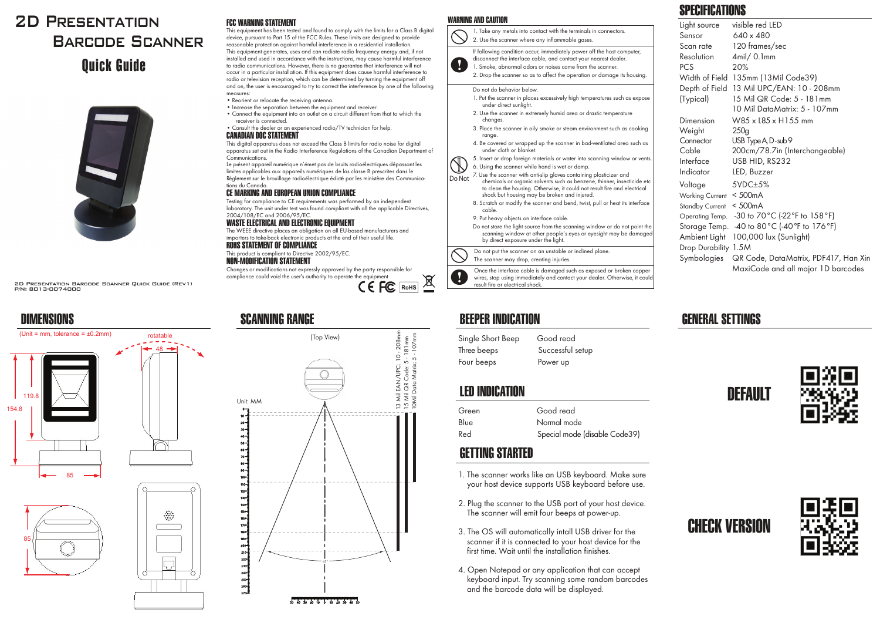# 2D Presentation Barcode ScannerQuick Guide



2D Presentation Barcode Scanner Quick Guide (Rev1) P/N: 8013-0074000

48rotatable





85



#### FCC WARNING STATEMENT

 This equipment has been tested and found to comply with the limits for a Class B digital device, pursuant to Part 15 of the FCC Rules. These limits are designed to provide reasonable protection against harmful interference in a residential installation. This equipment generates, uses and can radiate radio frequency energy and, if not installed and used in accordance with the instructions, may cause harmful interference to radio communications. However, there is no guarantee that interference will not occur in a particular installation. If this equipment does cause harmful interference to radio or television reception, which can be determined by turning the equipment off and on, the user is encouraged to try to correct the interference by one of the following measures:

- Reorient or relocate the receiving antenna. Reo
- Increase the separation between the equipment and receiver. Inc $\bullet$  Connect the equipment into an outlet on a circuit different from that to which the
- receiver is connected. re• Consult the dealer or an experienced radio/TV technician for help. Co

#### CANADIAN DOC STATEMENT CANA

This digital apparatus does not exceed the Class B limits for radio noise for digital apparatus set out in the Radio Interference Regulations of the Canadian Department of appa Communications.

 Le présent appareil numérique n'émet pas de bruits radioélectriques dépassant les limites applicables aux appareils numériques de las classe B prescrites dans le Réglement sur le brouillage radioélectrique édicté par les ministère des Communica- Régle tions du Canada.Le pr<mark>é</mark><br>limites

#### CE MARKING AND EUROPEAN UNION COMPLIANCE M

 Testing for compliance to CE requirements was performed by an independent Testinlaboratory. The unit under test was found compliant with all the applicable Directives, labor2004/108/EC and 2006/95/EC. 2004

WASTE ELECTRICAL AND ELECTRONIC EQUIPMENT WAS

The WEEE directive places an obligation on all EU-based manufacturers and Wimporters to take-back electronic products at the end of their useful life. impo

ROHS STATEMENT OF COMPLIANCE This product is compliant to Directive 2002/95/EC.

### NON-MODIFICATION STATEMENT

Unit: MM

 $10.5$ 

 Changes or modifications not expressly approved by the party responsible for compliance could void the user's authority to operate the equipment

(Top View)

45°

 $50 - 40 - 30 - 20 - 10 - 10 - 20 - 30 - 40$ 



13 Mil EAN/UPC: 10 - 208mm 15 Mil QR Code: 5 - 181mm 10Mil Data Matrix: 5 - 107mm

13 Mil EAN/UPC: 10 - 208mm<br>15 Mil QR Code: 5 - 181mm<br>10Mil Data Matrix: 5 - 107mm



#### WARNING AND CAUTION



to clean the housing. Otherwise, it could not result fire and electrical shock but housing may be broken and injured. 8. Scratch or modify the scanner and bend, twist, pull or heat its interface

cable.9. Put heavy objects on interface cable.

Do not stare the light source from the scanning window or do not point the scanning window at other people's eyes or eyesight may be damaged by direct exposure under the light.

Do not put the scanner on an unstable or inclined plane.

The scanner may drop, creating injuries.

Once the interface cable is damaged such as exposed or broken copper wires, stop using immediately and contact your dealer. Otherwise, it could result fire or electrical shock.

### SCANNING RANGE BEEPER INDICATION

Single Short Beep Good read Three beeps Successful setup Four beeps Power up

### LED INDICATION

| Green | Good read                     |
|-------|-------------------------------|
| Blue  | Normal mode                   |
| Red   | Special mode (disable Code39) |

### GETTING STARTED

- 1. The scanner works like an USB keyboard. Make sure your host device supports USB keyboard before use.
- 2. Plug the scanner to the USB port of your host device. The scanner will emit four beeps at power-up.
- 3. The OS will automatically intall USB driver for the scanner if it is connected to your host device for the first time. Wait until the installation finishes.
- 4. Open Notepad or any application that can accept keyboard input. Try scanning some random barcodes and the barcode data will be displayed.

# SPECIFICATIONS

| Light source           | visible red LED                           |
|------------------------|-------------------------------------------|
| Sensor                 | 640 x 480                                 |
| Scan rate              | 120 frames/sec                            |
| Resolution             | $4$ mil $/ 0.1$ mm                        |
| <b>PCS</b>             | 20%                                       |
| Width of Field         | 135mm (13Mil Code39)                      |
|                        | Depth of Field 13 Mil UPC/EAN: 10 - 208mm |
| (Typical)              | 15 Mil QR Code: 5 - 181mm                 |
|                        | 10 Mil DataMatrix: 5 - 107mm              |
| Dimension              | W85 x L85 x H155 mm                       |
| Weight                 | 250q                                      |
| Connector              | USB Type A, D-sub 9                       |
| Cable                  | 200cm/78.7in (Interchangeable)            |
| Interface              | USB HID, RS232                            |
| Indicator              | LED, Buzzer                               |
| Voltage                | $5VDC\pm5%$                               |
| <b>Working Current</b> | $<$ 500 $mA$                              |
| <b>Standby Current</b> | $<$ 500 $mA$                              |
| Operating Temp.        | -30 to 70 °C (-22 °F to 158 °F)           |
| Storage Temp.          | -40 to 80°C (-40°F to 176°F)              |
| Ambient Light          | 100,000 lux (Sunlight)                    |
| Drop Durability 1.5M   |                                           |
| Symbologies            | QR Code, DataMatrix, PDF417, Han Xin      |
|                        | MaxiCode and all major 1D barcodes        |

## GENERAL SETTINGS